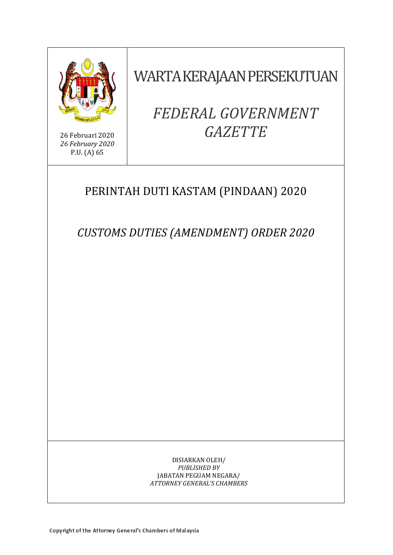

26 Februari 2020 *26 February 2020* P.U. (A) 65

WARTA KERAJAAN PERSEKUTUAN

# *FEDERAL GOVERNMENT GAZETTE*

# PERINTAH DUTI KASTAM (PINDAAN) 2020

*CUSTOMS DUTIES (AMENDMENT) ORDER 2020*

DISIARKAN OLEH/ *PUBLISHED BY* JABATAN PEGUAM NEGARA/ *ATTORNEY GENERAL'S CHAMBERS*

Copyright of the Attorney General's Chambers of Malaysia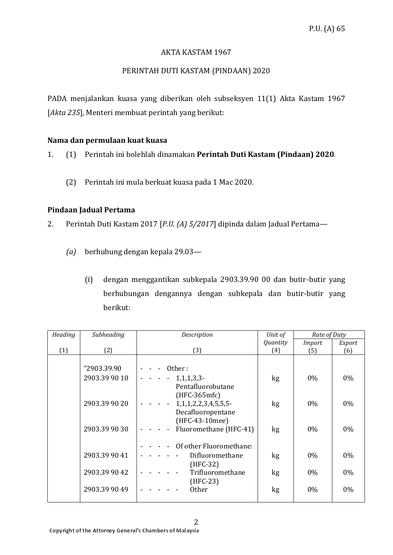# AKTA KASTAM 1967

# PERINTAH DUTI KASTAM (PINDAAN) 2020

PADA menjalankan kuasa yang diberikan oleh subseksyen 11(1) Akta Kastam 1967 [*Akta 235*], Menteri membuat perintah yang berikut:

#### **Nama dan permulaan kuat kuasa**

1. (1) Perintah ini bolehlah dinamakan **Perintah Duti Kastam (Pindaan) 2020**.

(2) Perintah ini mula berkuat kuasa pada 1 Mac 2020.

### **Pindaan Jadual Pertama**

2. Perintah Duti Kastam 2017 [*P.U. (A) 5/2017*] dipinda dalam Jadual Pertama—

- *(a)* berhubung dengan kepala 29.03—
	- (i) dengan menggantikan subkepala 2903.39.90 00 dan butir-butir yang berhubungan dengannya dengan subkepala dan butir-butir yang berikut:

| Heading | Subheading    | Description                                                        | Unit of  | Rate of Duty |        |
|---------|---------------|--------------------------------------------------------------------|----------|--------------|--------|
|         |               |                                                                    | Quantity | Import       | Export |
| (1)     | (2)           | (3)                                                                | (4)      | (5)          | (6)    |
|         |               |                                                                    |          |              |        |
|         | "2903.39.90   | Other:                                                             |          |              |        |
|         | 2903.39 90 10 | $1,1,1,3,3$ -                                                      | kg       | $0\%$        | $0\%$  |
|         |               | Pentafluorobutane                                                  |          |              |        |
|         |               | $(HFC-365mfc)$                                                     |          |              |        |
|         | 2903.39 90 20 | 1, 1, 1, 2, 2, 3, 4, 5, 5, 5-<br>$\sim 10^{-1}$ and $\sim 10^{-1}$ | kg       | $0\%$        | $0\%$  |
|         |               | Decafluoropentane                                                  |          |              |        |
|         |               | (HFC-43-10mee)                                                     |          |              |        |
|         | 2903.39 90 30 | Fluoromethane (HFC-41)<br>$\blacksquare$                           | kg       | $0\%$        | $0\%$  |
|         |               |                                                                    |          |              |        |
|         |               | Of other Fluoromethane:                                            |          |              |        |
|         | 2903.39 90 41 | Difluoromethane                                                    | kg       | $0\%$        | $0\%$  |
|         |               | $(HFC-32)$                                                         |          |              |        |
|         | 2903.39 90 42 | Trifluoromethane                                                   | kg       | 0%           | 0%     |
|         |               | $(HFC-23)$                                                         |          |              |        |
|         | 2903.39 90 49 | <b>Other</b>                                                       | kg       | $0\%$        | 0%     |
|         |               |                                                                    |          |              |        |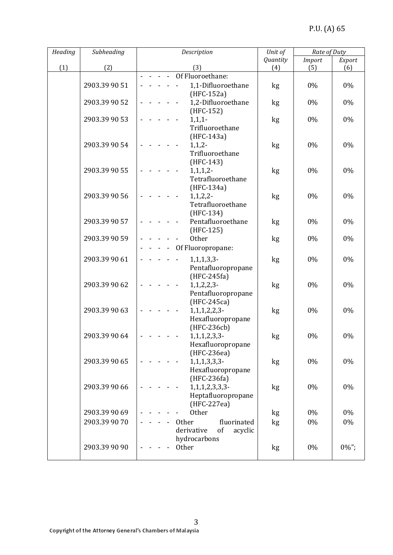| Heading | Subheading    | Description                           | Unit of  | Rate of Duty  |          |
|---------|---------------|---------------------------------------|----------|---------------|----------|
|         |               |                                       | Quantity | <b>Import</b> | Export   |
| (1)     | (2)           | (3)                                   | (4)      | (5)           | (6)      |
|         |               | - - Of Fluoroethane:                  |          |               |          |
|         | 2903.39 90 51 | 1,1-Difluoroethane                    | kg       | 0%            | 0%       |
|         |               | (HFC-152a)                            |          |               |          |
|         | 2903.39 90 52 | 1,2-Difluoroethane                    | kg       | 0%            | $0\%$    |
|         |               | (HFC-152)                             |          |               |          |
|         | 2903.39 90 53 | $1,1,1$ -                             | kg       | 0%            | 0%       |
|         |               | Trifluoroethane<br>(HFC-143a)         |          |               |          |
|         | 2903.39 90 54 | $1, 1, 2-$                            | kg       | 0%            | 0%       |
|         |               | Trifluoroethane                       |          |               |          |
|         |               | $(HFC-143)$                           |          |               |          |
|         | 2903.39 90 55 | 1, 1, 1, 2                            | kg       | $0\%$         | 0%       |
|         |               | Tetrafluoroethane                     |          |               |          |
|         |               | (HFC-134a)                            |          |               |          |
|         | 2903.39 90 56 | 1, 1, 2, 2                            | kg       | $0\%$         | 0%       |
|         |               | Tetrafluoroethane                     |          |               |          |
|         |               | (HFC-134)                             |          |               |          |
|         | 2903.39 90 57 | Pentafluoroethane                     | kg       | 0%            | 0%       |
|         |               | $(HFC-125)$                           |          |               |          |
|         | 2903.39 90 59 | Other                                 | kg       | 0%            | 0%       |
|         |               | Of Fluoropropane:                     |          |               |          |
|         | 2903.39 90 61 | 1, 1, 1, 3, 3                         | kg       | 0%            | 0%       |
|         |               | Pentafluoropropane                    |          |               |          |
|         |               | $(HFC-245fa)$                         |          |               |          |
|         | 2903.39 90 62 | $1, 1, 2, 2, 3$ -                     | kg       | 0%            | 0%       |
|         |               | Pentafluoropropane                    |          |               |          |
|         |               | (HFC-245ca)                           |          |               |          |
|         | 2903.39 90 63 | $1, 1, 1, 2, 2, 3$ -                  | kg       | 0%            | 0%       |
|         |               | Hexafluoropropane                     |          |               |          |
|         |               | (HFC-236cb)                           |          |               |          |
|         | 2903.39 90 64 | 1, 1, 1, 2, 3, 3                      | kg       | 0%            | 0%       |
|         |               | Hexafluoropropane                     |          |               |          |
|         | 2903.39 90 65 | (HFC-236ea)                           |          | 0%            | 0%       |
|         |               | 1, 1, 1, 3, 3, 3<br>Hexafluoropropane | kg       |               |          |
|         |               | (HFC-236fa)                           |          |               |          |
|         | 2903.39 90 66 | 1, 1, 1, 2, 3, 3, 3                   | kg       | 0%            | 0%       |
|         |               | Heptafluoropropane                    |          |               |          |
|         |               | (HFC-227ea)                           |          |               |          |
|         | 2903.39 90 69 | <b>Other</b>                          | kg       | 0%            | 0%       |
|         | 2903.39 90 70 | <b>Other</b><br>fluorinated           | kg       | 0%            | 0%       |
|         |               | of<br>derivative<br>acyclic           |          |               |          |
|         |               | hydrocarbons                          |          |               |          |
|         | 2903.39 90 90 | Other                                 | kg       | 0%            | $0\%$ "; |
|         |               |                                       |          |               |          |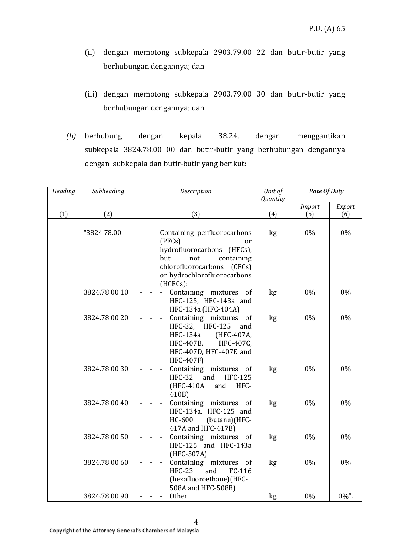- (ii) dengan memotong subkepala 2903.79.00 22 dan butir-butir yang berhubungan dengannya; dan
- (iii) dengan memotong subkepala 2903.79.00 30 dan butir-butir yang berhubungan dengannya; dan
- *(b)* berhubung dengan kepala 38.24, dengan menggantikan subkepala 3824.78.00 00 dan butir-butir yang berhubungan dengannya dengan subkepala dan butir-butir yang berikut:

| Heading | Subheading    | Description                                                                                                                                                           | Unit of<br>Quantity | Rate Of Duty  |          |
|---------|---------------|-----------------------------------------------------------------------------------------------------------------------------------------------------------------------|---------------------|---------------|----------|
|         |               |                                                                                                                                                                       |                     | <b>Import</b> | Export   |
| (1)     | (2)           | (3)                                                                                                                                                                   | (4)                 | (5)           | (6)      |
|         | "3824.78.00   | Containing perfluorocarbons<br>(PFCs)<br>or<br>hydrofluorocarbons (HFCs),<br>containing<br>but<br>not<br>chlorofluorocarbons<br>(CFCs)<br>or hydrochlorofluorocarbons | kg                  | 0%            | 0%       |
|         | 3824.78.00 10 | $(HCFCs)$ :<br>Containing mixtures of<br>$\blacksquare$<br>HFC-125, HFC-143a and<br>HFC-134a (HFC-404A)                                                               | kg                  | 0%            | 0%       |
|         | 3824.78.00 20 | Containing mixtures of<br>HFC-32, HFC-125<br>and<br>(HFC-407A,<br>HFC-134a<br>HFC-407C,<br>HFC-407B,<br>HFC-407D, HFC-407E and<br><b>HFC-407F)</b>                    | kg                  | $0\%$         | $0\%$    |
|         | 3824.78.0030  | Containing mixtures<br>of<br><b>HFC-32</b><br>and<br><b>HFC-125</b><br>(HFC-410A<br>and<br>HFC-<br>410B)                                                              | kg                  | 0%            | $0\%$    |
|         | 3824.78.00 40 | Containing mixtures<br><sub>of</sub><br>HFC-134a, HFC-125 and<br>(butane)(HFC-<br>HC-600<br>417A and HFC-417B)                                                        | kg                  | $0\%$         | 0%       |
|         | 3824.78.00 50 | Containing mixtures of<br>HFC-125 and HFC-143a<br>(HFC-507A)                                                                                                          | kg                  | 0%            | 0%       |
|         | 3824.78.00 60 | Containing mixtures of<br><b>HFC-23</b><br>and<br>FC-116<br>(hexafluoroethane)(HFC-<br>508A and HFC-508B)                                                             | kg                  | $0\%$         | $0\%$    |
|         | 3824.78.00 90 | Other                                                                                                                                                                 | kg                  | $0\%$         | $0\%$ ". |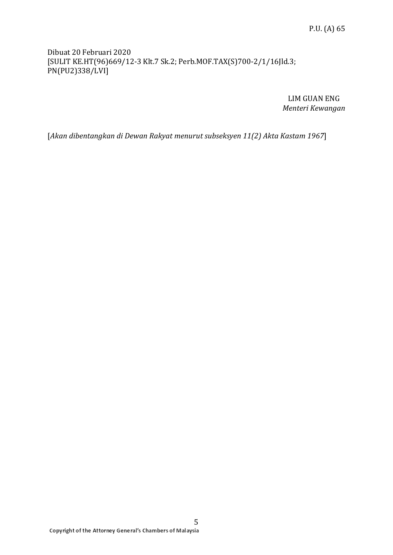# Dibuat 20 Februari 2020 [SULIT KE.HT(96)669/12-3 Klt.7 Sk.2; Perb.MOF.TAX(S)700-2/1/16Jld.3; PN(PU2)338/LVI]

LIM GUAN ENG *Menteri Kewangan*

[*Akan dibentangkan di Dewan Rakyat menurut subseksyen 11(2) Akta Kastam 1967*]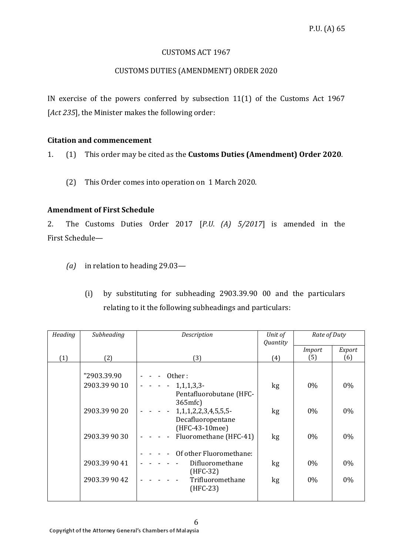### CUSTOMS ACT 1967

# CUSTOMS DUTIES (AMENDMENT) ORDER 2020

IN exercise of the powers conferred by subsection 11(1) of the Customs Act 1967 [*Act 235*], the Minister makes the following order:

# **Citation and commencement**

1. (1) This order may be cited as the **Customs Duties (Amendment) Order 2020**.

(2) This Order comes into operation on 1 March 2020.

# **Amendment of First Schedule**

2. The Customs Duties Order 2017 [*P.U. (A) 5/2017*] is amended in the First Schedule—

- *(a)* in relation to heading 29.03—
	- (i) by substituting for subheading 2903.39.90 00 and the particulars relating to it the following subheadings and particulars:

| Heading | Subheading                   | Description                                                          | Unit of<br>Quantity | Rate of Duty  |        |
|---------|------------------------------|----------------------------------------------------------------------|---------------------|---------------|--------|
|         |                              |                                                                      |                     | <b>Import</b> | Export |
| (1)     | (2)                          | (3)                                                                  | (4)                 | (5)           | (6)    |
|         | "2903.39.90<br>2903.39 90 10 | Other:<br>1,1,1,3,3<br>Pentafluorobutane (HFC-<br>365mfc             | kg                  | $0\%$         | $0\%$  |
|         | 2903.39 90 20                | 1, 1, 1, 2, 2, 3, 4, 5, 5, 5-<br>Decafluoropentane<br>(HFC-43-10mee) | kg                  | $0\%$         | $0\%$  |
|         | 2903.39 90 30                | Fluoromethane (HFC-41)<br>Of other Fluoromethane:                    | kg                  | 0%            | $0\%$  |
|         | 2903.39 90 41                | Difluoromethane<br>$(HFC-32)$                                        | kg                  | $0\%$         | $0\%$  |
|         | 2903.39 90 42                | Trifluoromethane<br>$(HFC-23)$                                       | kg                  | $0\%$         | $0\%$  |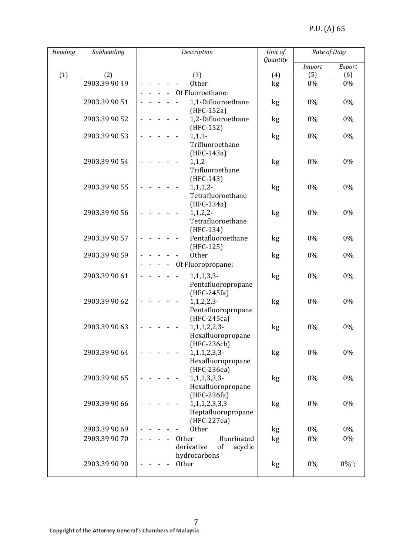| Heading | Subheading    | Description                                                             | Unit of  | Rate of Duty  |          |
|---------|---------------|-------------------------------------------------------------------------|----------|---------------|----------|
|         |               |                                                                         | Quantity | <b>Import</b> | Export   |
| (1)     | (2)           | (3)                                                                     | (4)      | (5)           | (6)      |
|         | 2903.39 90 49 | Other                                                                   | kg       | 0%            | 0%       |
|         |               | Of Fluoroethane:                                                        |          |               |          |
|         | 2903.39 90 51 | 1,1-Difluoroethane<br>(HFC-152a)                                        | kg       | 0%            | 0%       |
|         | 2903.39 90 52 | 1,2-Difluoroethane<br>(HFC-152)                                         | kg       | 0%            | 0%       |
|         | 2903.39 90 53 | $1,1,1-$<br>Trifluoroethane<br>$(HFC-143a)$                             | kg       | 0%            | 0%       |
|         | 2903.39 90 54 | $1, 1, 2-$<br>Trifluoroethane<br>$(HFC-143)$                            | kg       | 0%            | 0%       |
|         | 2903.39 90 55 | 1,1,1,2<br>Tetrafluoroethane<br>(HFC-134a)                              | kg       | 0%            | $0\%$    |
|         | 2903.39 90 56 | 1, 1, 2, 2<br>Tetrafluoroethane<br>$(HFC-134)$                          | kg       | $0\%$         | 0%       |
|         | 2903.39 90 57 | Pentafluoroethane<br>(HFC-125)                                          | kg       | 0%            | 0%       |
|         | 2903.39 90 59 | <b>Other</b>                                                            | kg       | 0%            | 0%       |
|         |               | Of Fluoropropane:                                                       |          |               |          |
|         | 2903.39 90 61 | $1,1,1,3,3$ -<br>Pentafluoropropane<br>$(HFC-245fa)$                    | kg       | 0%            | 0%       |
|         | 2903.39 90 62 | $1, 1, 2, 2, 3$ -<br>Pentafluoropropane<br>(HFC-245ca)                  | kg       | 0%            | $0\%$    |
|         | 2903.39 90 63 | $1, 1, 1, 2, 2, 3$ -<br>Hexafluoropropane<br>(HFC-236cb)                | kg       | 0%            | 0%       |
|         | 2903.39 90 64 | 1, 1, 1, 2, 3, 3<br>Hexafluoropropane<br>(HFC-236ea)                    | kg       | 0%            | 0%       |
|         | 2903.39 90 65 | 1, 1, 1, 3, 3, 3<br>Hexafluoropropane                                   | kg       | 0%            | 0%       |
|         | 2903.39 90 66 | (HFC-236fa)<br>1, 1, 1, 2, 3, 3, 3<br>Heptafluoropropane<br>(HFC-227ea) | kg       | 0%            | 0%       |
|         | 2903.39 90 69 | <b>Other</b>                                                            | kg       | 0%            | 0%       |
|         | 2903.39 90 70 | Other<br>fluorinated                                                    | kg       | 0%            | 0%       |
|         | 2903.39 90 90 | of<br>acyclic<br>derivative<br>hydrocarbons<br>Other                    | kg       | 0%            | $0\%$ "; |
|         |               |                                                                         |          |               |          |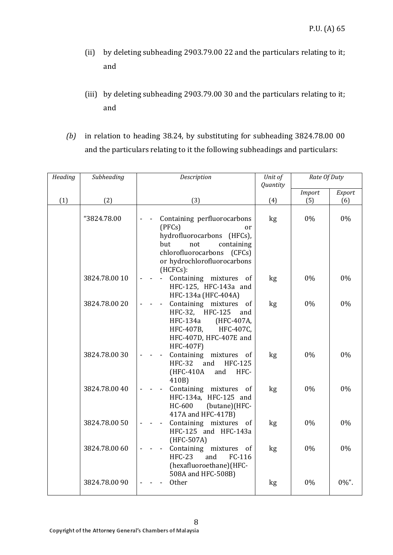- (ii) by deleting subheading 2903.79.00 22 and the particulars relating to it; and
- (iii) by deleting subheading 2903.79.00 30 and the particulars relating to it; and
- *(b)* in relation to heading 38.24, by substituting for subheading 3824.78.00 00 and the particulars relating to it the following subheadings and particulars:

| Heading | Subheading    | Unit of<br>Description<br>Quantity                                                                                                                                                           |     | Rate Of Duty  |          |  |
|---------|---------------|----------------------------------------------------------------------------------------------------------------------------------------------------------------------------------------------|-----|---------------|----------|--|
|         |               |                                                                                                                                                                                              |     | <b>Import</b> | Export   |  |
| (1)     | (2)           | (3)                                                                                                                                                                                          | (4) | (5)           | (6)      |  |
|         | "3824.78.00   | Containing perfluorocarbons<br>(PFCs)<br><sub>or</sub><br>hydrofluorocarbons (HFCs),<br>but<br>not<br>containing<br>chlorofluorocarbons<br>(CFCs)<br>or hydrochlorofluorocarbons<br>(HCFCs): | kg  | 0%            | 0%       |  |
|         | 3824.78.00 10 | Containing mixtures of<br>HFC-125, HFC-143a and<br>HFC-134a (HFC-404A)                                                                                                                       | kg  | $0\%$         | 0%       |  |
|         | 3824.78.00 20 | Containing mixtures of<br>HFC-32, HFC-125<br>and<br><b>HFC-134a</b><br>(HFC-407A,<br>HFC-407B, HFC-407C,<br>HFC-407D, HFC-407E and<br><b>HFC-407F)</b>                                       | kg  | $0\%$         | $0\%$    |  |
|         | 3824.78.0030  | Containing mixtures of<br><b>HFC-32</b><br>and<br><b>HFC-125</b><br>(HFC-410A<br>and<br>HFC-<br>410B)                                                                                        | kg  | 0%            | 0%       |  |
|         | 3824.78.00 40 | Containing mixtures of<br>HFC-134a, HFC-125 and<br>HC-600<br>(butane)(HFC-<br>417A and HFC-417B)                                                                                             | kg  | $0\%$         | $0\%$    |  |
|         | 3824.78.00 50 | Containing mixtures of<br>HFC-125 and HFC-143a<br>(HFC-507A)                                                                                                                                 | kg  | 0%            | 0%       |  |
|         | 3824.78.00 60 | Containing mixtures of<br><b>HFC-23</b><br>FC-116<br>and<br>(hexafluoroethane)(HFC-<br>508A and HFC-508B)                                                                                    | kg  | 0%            | $0\%$    |  |
|         | 3824.78.00 90 | <b>Other</b>                                                                                                                                                                                 | kg  | 0%            | $0\%$ ". |  |